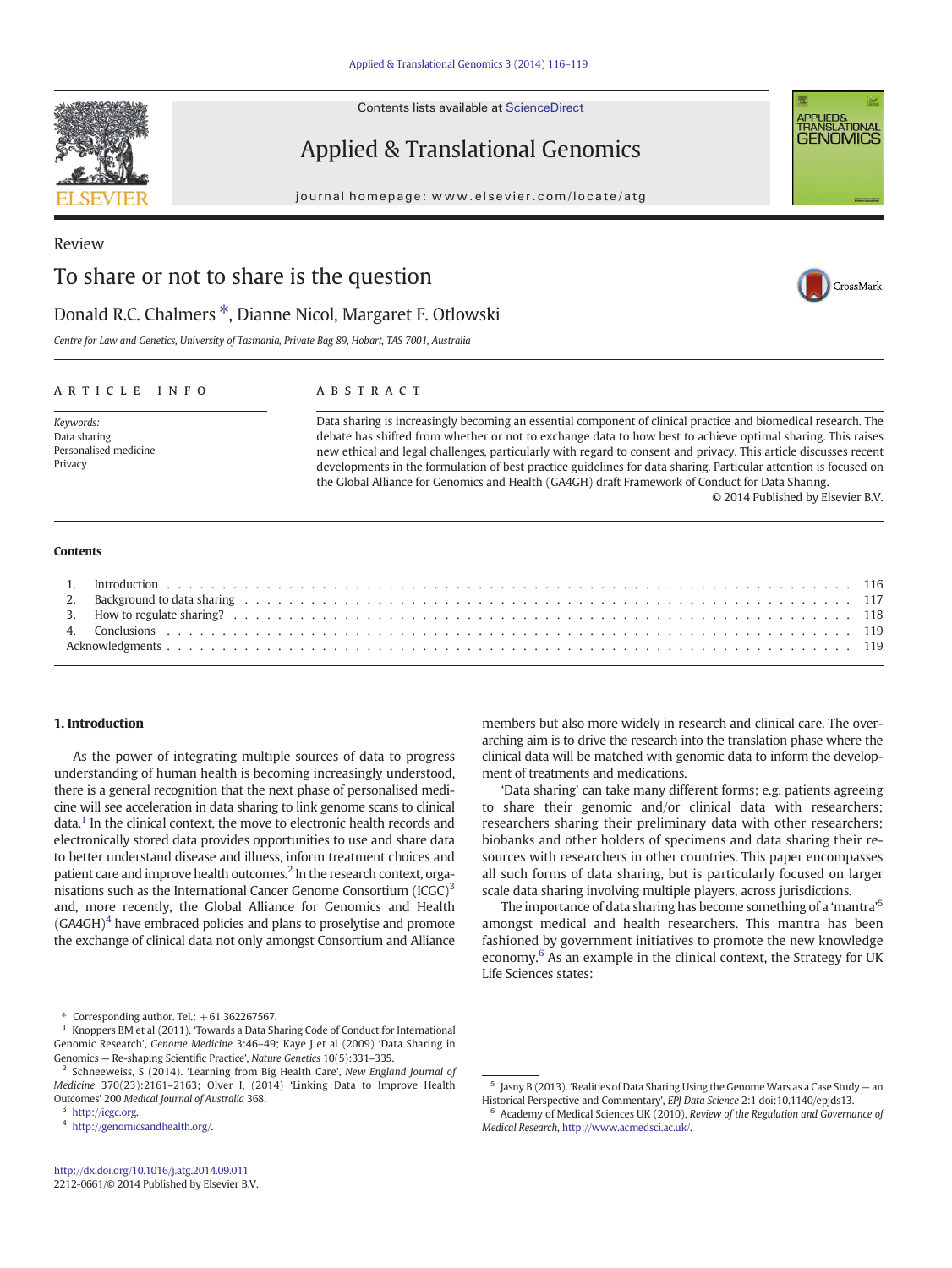Contents lists available at ScienceDirect

# Applied & Translational Genomics

journal homepage: www.elsevier.com/locate/atg



CrossMark

# Review To share or not to share is the question

# Donald R.C. Chalmers  $*$ , Dianne Nicol, Margaret F. Otlowski

Centre for Law and Genetics, University of Tasmania, Private Bag 89, Hobart, TAS 7001, Australia

#### article info abstract

Keywords: Data sharing Personalised medicine Privacy

Data sharing is increasingly becoming an essential component of clinical practice and biomedical research. The debate has shifted from whether or not to exchange data to how best to achieve optimal sharing. This raises new ethical and legal challenges, particularly with regard to consent and privacy. This article discusses recent developments in the formulation of best practice guidelines for data sharing. Particular attention is focused on the Global Alliance for Genomics and Health (GA4GH) draft Framework of Conduct for Data Sharing. © 2014 Published by Elsevier B.V.

#### **Contents**

### 1. Introduction

As the power of integrating multiple sources of data to progress understanding of human health is becoming increasingly understood, there is a general recognition that the next phase of personalised medicine will see acceleration in data sharing to link genome scans to clinical data.<sup>1</sup> In the clinical context, the move to electronic health records and electronically stored data provides opportunities to use and share data to better understand disease and illness, inform treatment choices and patient care and improve health outcomes.<sup>2</sup> In the research context, organisations such as the International Cancer Genome Consortium  $(ICGC)^3$ and, more recently, the Global Alliance for Genomics and Health  $(GA4GH)^4$  have embraced policies and plans to proselytise and promote the exchange of clinical data not only amongst Consortium and Alliance members but also more widely in research and clinical care. The overarching aim is to drive the research into the translation phase where the clinical data will be matched with genomic data to inform the development of treatments and medications.

'Data sharing' can take many different forms; e.g. patients agreeing to share their genomic and/or clinical data with researchers; researchers sharing their preliminary data with other researchers; biobanks and other holders of specimens and data sharing their resources with researchers in other countries. This paper encompasses all such forms of data sharing, but is particularly focused on larger scale data sharing involving multiple players, across jurisdictions.

The importance of data sharing has become something of a 'mantra'<sup>5</sup> amongst medical and health researchers. This mantra has been fashioned by government initiatives to promote the new knowledge economy.<sup>6</sup> As an example in the clinical context, the Strategy for UK Life Sciences states:



Corresponding author. Tel.:  $+61$  362267567.

<sup>1</sup> Knoppers BM et al (2011). 'Towards a Data Sharing Code of Conduct for International Genomic Research', Genome Medicine 3:46–49; Kaye J et al (2009) 'Data Sharing in Genomics — Re-shaping Scientific Practice', Nature Genetics 10(5):331–335.

Schneeweiss, S (2014). 'Learning from Big Health Care', New England Journal of Medicine 370(23):2161–2163; Olver I, (2014) 'Linking Data to Improve Health Outcomes' 200 Medical Journal of Australia 368.

<sup>3</sup> <http://icgc.org>.

<sup>4</sup> [http://genomicsandhealth.org/.](http://genomicsandhealth.org/)

 $5$  Jasny B (2013). 'Realities of Data Sharing Using the Genome Wars as a Case Study  $-$  an Historical Perspective and Commentary', EPJ Data Science 2:1 doi:10.1140/epjds13.

 $6$  Academy of Medical Sciences UK (2010), Review of the Regulation and Governance of Medical Research, [http://www.acmedsci.ac.uk/.](http://www.acmedsci.ac.uk/)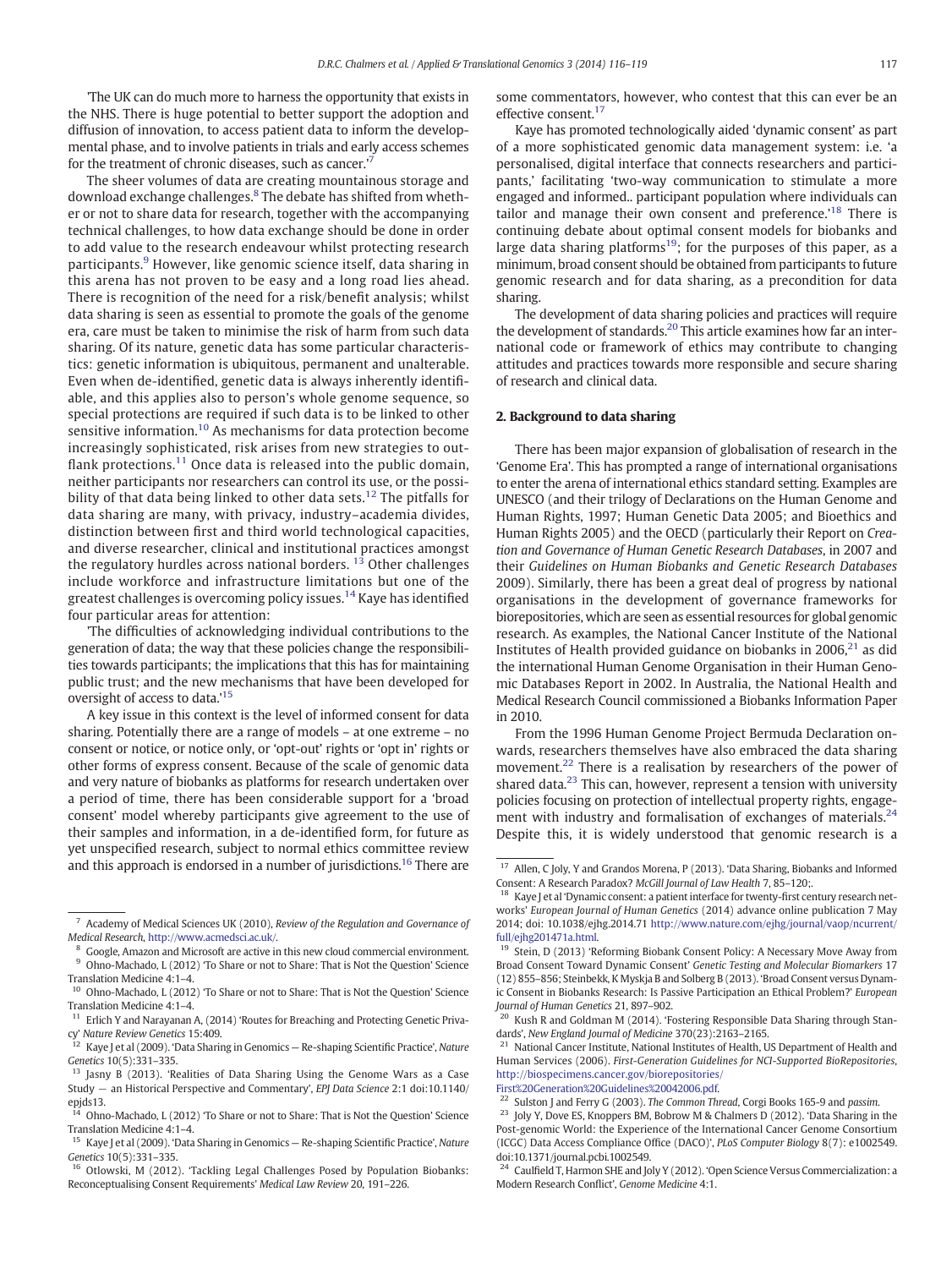'The UK can do much more to harness the opportunity that exists in the NHS. There is huge potential to better support the adoption and diffusion of innovation, to access patient data to inform the developmental phase, and to involve patients in trials and early access schemes for the treatment of chronic diseases, such as cancer.'<sup>7</sup>

The sheer volumes of data are creating mountainous storage and download exchange challenges.<sup>8</sup> The debate has shifted from whether or not to share data for research, together with the accompanying technical challenges, to how data exchange should be done in order to add value to the research endeavour whilst protecting research participants.<sup>9</sup> However, like genomic science itself, data sharing in this arena has not proven to be easy and a long road lies ahead. There is recognition of the need for a risk/benefit analysis; whilst data sharing is seen as essential to promote the goals of the genome era, care must be taken to minimise the risk of harm from such data sharing. Of its nature, genetic data has some particular characteristics: genetic information is ubiquitous, permanent and unalterable. Even when de-identified, genetic data is always inherently identifiable, and this applies also to person's whole genome sequence, so special protections are required if such data is to be linked to other sensitive information.<sup>10</sup> As mechanisms for data protection become increasingly sophisticated, risk arises from new strategies to outflank protections. $11$  Once data is released into the public domain, neither participants nor researchers can control its use, or the possibility of that data being linked to other data sets.<sup>12</sup> The pitfalls for data sharing are many, with privacy, industry–academia divides, distinction between first and third world technological capacities, and diverse researcher, clinical and institutional practices amongst the regulatory hurdles across national borders.  $13$  Other challenges include workforce and infrastructure limitations but one of the greatest challenges is overcoming policy issues.<sup>14</sup> Kaye has identified four particular areas for attention:

'The difficulties of acknowledging individual contributions to the generation of data; the way that these policies change the responsibilities towards participants; the implications that this has for maintaining public trust; and the new mechanisms that have been developed for oversight of access to data.'<sup>15</sup>

A key issue in this context is the level of informed consent for data sharing. Potentially there are a range of models – at one extreme – no consent or notice, or notice only, or 'opt-out' rights or 'opt in' rights or other forms of express consent. Because of the scale of genomic data and very nature of biobanks as platforms for research undertaken over a period of time, there has been considerable support for a 'broad consent' model whereby participants give agreement to the use of their samples and information, in a de-identified form, for future as yet unspecified research, subject to normal ethics committee review and this approach is endorsed in a number of jurisdictions.<sup>16</sup> There are some commentators, however, who contest that this can ever be an effective consent.<sup>17</sup>

Kaye has promoted technologically aided 'dynamic consent' as part of a more sophisticated genomic data management system: i.e. 'a personalised, digital interface that connects researchers and participants,' facilitating 'two-way communication to stimulate a more engaged and informed.. participant population where individuals can tailor and manage their own consent and preference.'<sup>18</sup> There is continuing debate about optimal consent models for biobanks and large data sharing platforms<sup>19</sup>; for the purposes of this paper, as a minimum, broad consent should be obtained from participants to future genomic research and for data sharing, as a precondition for data sharing.

The development of data sharing policies and practices will require the development of standards.20 This article examines how far an international code or framework of ethics may contribute to changing attitudes and practices towards more responsible and secure sharing of research and clinical data.

#### 2. Background to data sharing

There has been major expansion of globalisation of research in the 'Genome Era'. This has prompted a range of international organisations to enter the arena of international ethics standard setting. Examples are UNESCO (and their trilogy of Declarations on the Human Genome and Human Rights, 1997; Human Genetic Data 2005; and Bioethics and Human Rights 2005) and the OECD (particularly their Report on Creation and Governance of Human Genetic Research Databases, in 2007 and their Guidelines on Human Biobanks and Genetic Research Databases 2009). Similarly, there has been a great deal of progress by national organisations in the development of governance frameworks for biorepositories, which are seen as essential resources for global genomic research. As examples, the National Cancer Institute of the National Institutes of Health provided guidance on biobanks in 2006, $^{21}$  as did the international Human Genome Organisation in their Human Genomic Databases Report in 2002. In Australia, the National Health and Medical Research Council commissioned a Biobanks Information Paper in 2010.

From the 1996 Human Genome Project Bermuda Declaration onwards, researchers themselves have also embraced the data sharing movement.<sup>22</sup> There is a realisation by researchers of the power of shared data.<sup>23</sup> This can, however, represent a tension with university policies focusing on protection of intellectual property rights, engagement with industry and formalisation of exchanges of materials.<sup>24</sup> Despite this, it is widely understood that genomic research is a

 $21$  National Cancer Institute, National Institutes of Health, US Department of Health and Human Services (2006). First-Generation Guidelines for NCI-Supported BioRepositories, [http://biospecimens.cancer.gov/biorepositories/](http://biospecimens.cancer.gov/biorepositories/First%20Generation%20Guidelines%20042006.pdf)

[First%20Generation%20Guidelines%20042006.pdf.](http://biospecimens.cancer.gov/biorepositories/First%20Generation%20Guidelines%20042006.pdf)

Academy of Medical Sciences UK (2010), Review of the Regulation and Governance of Medical Research, [http://www.acmedsci.ac.uk/.](http://www.acmedsci.ac.uk/)

<sup>8</sup> Google, Amazon and Microsoft are active in this new cloud commercial environment. <sup>9</sup> Ohno-Machado, L (2012) 'To Share or not to Share: That is Not the Question' Science Translation Medicine 4:1–4.

<sup>&</sup>lt;sup>10</sup> Ohno-Machado, L (2012) 'To Share or not to Share: That is Not the Question' Science Translation Medicine 4:1–4.

<sup>&</sup>lt;sup>11</sup> Erlich Y and Narayanan A, (2014) 'Routes for Breaching and Protecting Genetic Priva-

cy' *Nature Review Genetics 15:409.*<br><sup>12</sup> Kaye J et al (2009). 'Data Sharing in Genomics — Re-shaping Scientific Practice', Nature Genetics 10(5):331–335.

<sup>&</sup>lt;sup>13</sup> Jasny B (2013). 'Realities of Data Sharing Using the Genome Wars as a Case Study − an Historical Perspective and Commentary', EPJ Data Science 2:1 doi:10.1140/ epjds13.

<sup>0</sup>hno-Machado, L (2012) 'To Share or not to Share: That is Not the Question' Science Translation Medicine 4:1–4.

<sup>&</sup>lt;sup>15</sup> Kaye J et al (2009). 'Data Sharing in Genomics - Re-shaping Scientific Practice', Nature Genetics 10(5):331–335.

<sup>&</sup>lt;sup>16</sup> Otlowski, M (2012). 'Tackling Legal Challenges Posed by Population Biobanks: Reconceptualising Consent Requirements' Medical Law Review 20, 191–226.

 $^{17}\,$  Allen, C Joly, Y and Grandos Morena, P (2013). 'Data Sharing, Biobanks and Informed Consent: A Research Paradox? McGill Journal of Law Health 7, 85–120;.

<sup>18</sup> Kaye J et al 'Dynamic consent: a patient interface for twenty-first century research networks' European Journal of Human Genetics (2014) advance online publication 7 May 2014; doi: 10.1038/ejhg.2014.71 [http://www.nature.com/ejhg/journal/vaop/ncurrent/](http://www.nature.com/ejhg/journal/vaop/ncurrent/full/ejhg201471a.html) [full/ejhg201471a.html](http://www.nature.com/ejhg/journal/vaop/ncurrent/full/ejhg201471a.html).

<sup>&</sup>lt;sup>19</sup> Stein, D (2013) 'Reforming Biobank Consent Policy: A Necessary Move Away from Broad Consent Toward Dynamic Consent' Genetic Testing and Molecular Biomarkers 17 (12) 855–856; Steinbekk, K Myskja B and Solberg B (2013). 'Broad Consent versus Dynamic Consent in Biobanks Research: Is Passive Participation an Ethical Problem?' European Journal of Human Genetics 21, 897–902.

Kush R and Goldman M (2014). 'Fostering Responsible Data Sharing through Standards', New England Journal of Medicine 370(23):2163–2165.

<sup>&</sup>lt;sup>22</sup> Sulston J and Ferry G (2003). The Common Thread, Corgi Books 165-9 and passim.

<sup>&</sup>lt;sup>23</sup> Joly Y, Dove ES, Knoppers BM, Bobrow M & Chalmers D (2012). 'Data Sharing in the Post-genomic World: the Experience of the International Cancer Genome Consortium (ICGC) Data Access Compliance Office (DACO)', PLoS Computer Biology 8(7): e1002549. doi:10.1371/journal.pcbi.1002549.

<sup>&</sup>lt;sup>24</sup> Caulfield T, Harmon SHE and Joly Y (2012). 'Open Science Versus Commercialization: a Modern Research Conflict', Genome Medicine 4:1.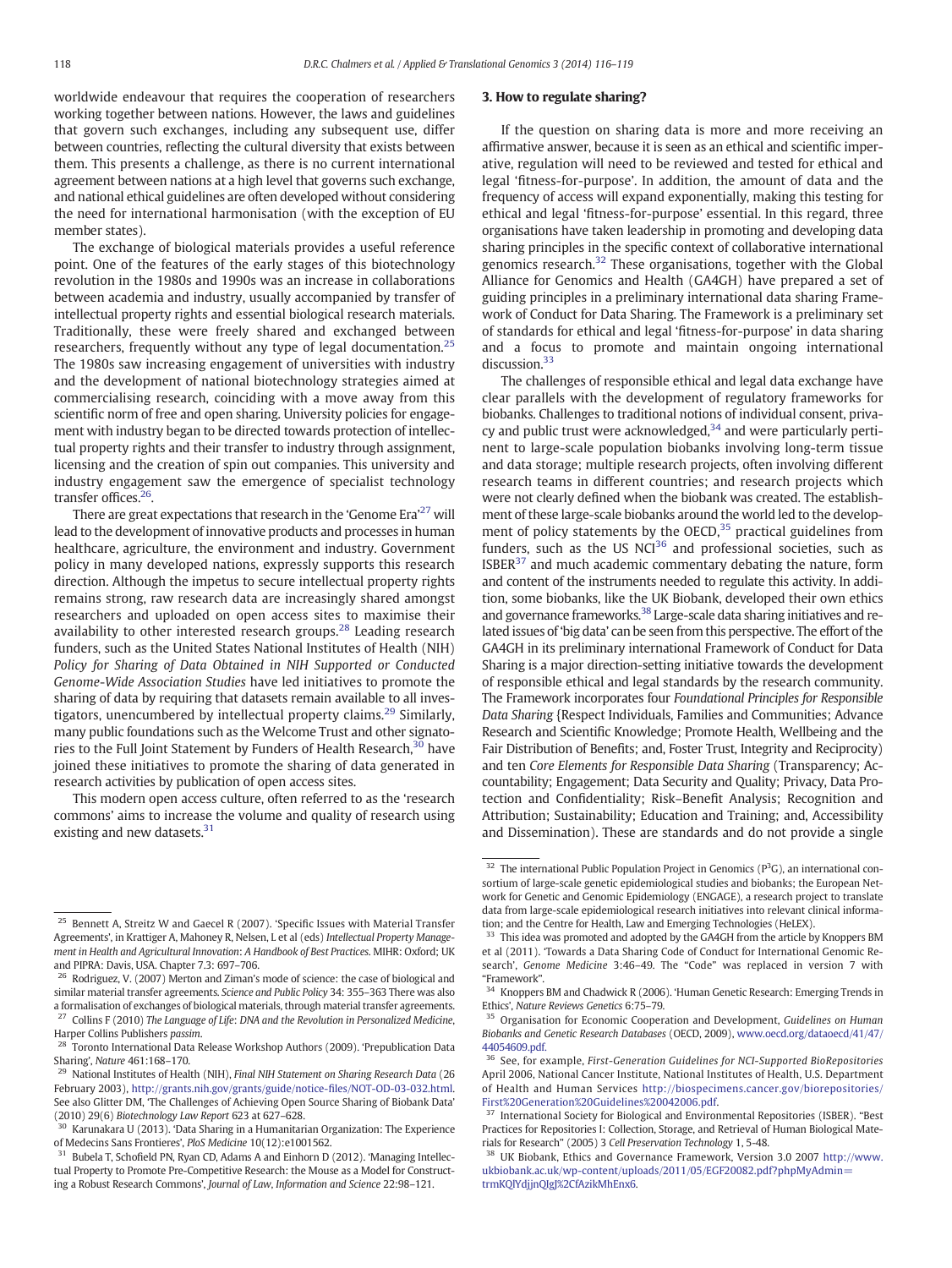worldwide endeavour that requires the cooperation of researchers working together between nations. However, the laws and guidelines that govern such exchanges, including any subsequent use, differ between countries, reflecting the cultural diversity that exists between them. This presents a challenge, as there is no current international agreement between nations at a high level that governs such exchange, and national ethical guidelines are often developed without considering the need for international harmonisation (with the exception of EU member states).

The exchange of biological materials provides a useful reference point. One of the features of the early stages of this biotechnology revolution in the 1980s and 1990s was an increase in collaborations between academia and industry, usually accompanied by transfer of intellectual property rights and essential biological research materials. Traditionally, these were freely shared and exchanged between researchers, frequently without any type of legal documentation.<sup>25</sup> The 1980s saw increasing engagement of universities with industry and the development of national biotechnology strategies aimed at commercialising research, coinciding with a move away from this scientific norm of free and open sharing. University policies for engagement with industry began to be directed towards protection of intellectual property rights and their transfer to industry through assignment, licensing and the creation of spin out companies. This university and industry engagement saw the emergence of specialist technology transfer offices.<sup>26</sup>.

There are great expectations that research in the 'Genome Era'<sup>27</sup> will lead to the development of innovative products and processes in human healthcare, agriculture, the environment and industry. Government policy in many developed nations, expressly supports this research direction. Although the impetus to secure intellectual property rights remains strong, raw research data are increasingly shared amongst researchers and uploaded on open access sites to maximise their availability to other interested research groups.<sup>28</sup> Leading research funders, such as the United States National Institutes of Health (NIH) Policy for Sharing of Data Obtained in NIH Supported or Conducted Genome-Wide Association Studies have led initiatives to promote the sharing of data by requiring that datasets remain available to all investigators, unencumbered by intellectual property claims.<sup>29</sup> Similarly, many public foundations such as the Welcome Trust and other signatories to the Full Joint Statement by Funders of Health Research,<sup>30</sup> have joined these initiatives to promote the sharing of data generated in research activities by publication of open access sites.

This modern open access culture, often referred to as the 'research commons' aims to increase the volume and quality of research using existing and new datasets. $31$ 

#### 3. How to regulate sharing?

If the question on sharing data is more and more receiving an affirmative answer, because it is seen as an ethical and scientific imperative, regulation will need to be reviewed and tested for ethical and legal 'fitness-for-purpose'. In addition, the amount of data and the frequency of access will expand exponentially, making this testing for ethical and legal 'fitness-for-purpose' essential. In this regard, three organisations have taken leadership in promoting and developing data sharing principles in the specific context of collaborative international genomics research. $32$  These organisations, together with the Global Alliance for Genomics and Health (GA4GH) have prepared a set of guiding principles in a preliminary international data sharing Framework of Conduct for Data Sharing. The Framework is a preliminary set of standards for ethical and legal 'fitness-for-purpose' in data sharing and a focus to promote and maintain ongoing international discussion.<sup>33</sup>

The challenges of responsible ethical and legal data exchange have clear parallels with the development of regulatory frameworks for biobanks. Challenges to traditional notions of individual consent, privacy and public trust were acknowledged, $34$  and were particularly pertinent to large-scale population biobanks involving long-term tissue and data storage; multiple research projects, often involving different research teams in different countries; and research projects which were not clearly defined when the biobank was created. The establishment of these large-scale biobanks around the world led to the development of policy statements by the OECD,<sup>35</sup> practical guidelines from funders, such as the US NCI<sup>36</sup> and professional societies, such as  $ISBER<sup>37</sup>$  and much academic commentary debating the nature, form and content of the instruments needed to regulate this activity. In addition, some biobanks, like the UK Biobank, developed their own ethics and governance frameworks.<sup>38</sup> Large-scale data sharing initiatives and related issues of 'big data' can be seen from this perspective. The effort of the GA4GH in its preliminary international Framework of Conduct for Data Sharing is a major direction-setting initiative towards the development of responsible ethical and legal standards by the research community. The Framework incorporates four Foundational Principles for Responsible Data Sharing {Respect Individuals, Families and Communities; Advance Research and Scientific Knowledge; Promote Health, Wellbeing and the Fair Distribution of Benefits; and, Foster Trust, Integrity and Reciprocity) and ten Core Elements for Responsible Data Sharing (Transparency; Accountability; Engagement; Data Security and Quality; Privacy, Data Protection and Confidentiality; Risk–Benefit Analysis; Recognition and Attribution; Sustainability; Education and Training; and, Accessibility and Dissemination). These are standards and do not provide a single

<sup>25</sup> Bennett A, Streitz W and Gaecel R (2007). 'Specific Issues with Material Transfer Agreements', in Krattiger A, Mahoney R, Nelsen, L et al (eds) Intellectual Property Management in Health and Agricultural Innovation: A Handbook of Best Practices. MIHR: Oxford; UK and PIPRA: Davis, USA. Chapter 7.3: 697–706.

<sup>&</sup>lt;sup>26</sup> Rodriguez, V. (2007) Merton and Ziman's mode of science: the case of biological and similar material transfer agreements. Science and Public Policy 34: 355–363 There was also a formalisation of exchanges of biological materials, through material transfer agreements.  $^{27}$  Collins F (2010) The Language of Life: DNA and the Revolution in Personalized Medicine, Harper Collins Publishers passim.

<sup>&</sup>lt;sup>28</sup> Toronto International Data Release Workshop Authors (2009). 'Prepublication Data Sharing', Nature 461:168–170.

<sup>&</sup>lt;sup>29</sup> National Institutes of Health (NIH), Final NIH Statement on Sharing Research Data (26 February 2003), [http://grants.nih.gov/grants/guide/notice-](http://grants.nih.gov/grants/guide/notice-files/NOT-OD-03-032.html)files/NOT-OD-03-032.html. See also Glitter DM, 'The Challenges of Achieving Open Source Sharing of Biobank Data' (2010) 29(6) Biotechnology Law Report 623 at 627–628.

<sup>30</sup> Karunakara U (2013). 'Data Sharing in a Humanitarian Organization: The Experience

of Medecins Sans Frontieres', *PloS Medicine* 10(12):e1001562.<br><sup>31</sup> Bubela T, Schofield PN, Ryan CD, Adams A and Einhorn D (2012). 'Managing Intellectual Property to Promote Pre-Competitive Research: the Mouse as a Model for Constructing a Robust Research Commons', Journal of Law, Information and Science 22:98–121.

 $32$  The international Public Population Project in Genomics ( $P^3G$ ), an international consortium of large-scale genetic epidemiological studies and biobanks; the European Network for Genetic and Genomic Epidemiology (ENGAGE), a research project to translate data from large-scale epidemiological research initiatives into relevant clinical information; and the Centre for Health, Law and Emerging Technologies (HeLEX).

<sup>&</sup>lt;sup>33</sup> This idea was promoted and adopted by the GA4GH from the article by Knoppers BM et al (2011). 'Towards a Data Sharing Code of Conduct for International Genomic Research', Genome Medicine 3:46–49. The "Code" was replaced in version 7 with

<sup>&</sup>quot;Framework".<br><sup>34</sup> Knoppers BM and Chadwick R (2006). 'Human Genetic Research: Emerging Trends in Ethics', Nature Reviews Genetics 6:75–79.

<sup>&</sup>lt;sup>35</sup> Organisation for Economic Cooperation and Development, Guidelines on Human Biobanks and Genetic Research Databases (OECD, 2009), [www.oecd.org/dataoecd/41/47/](http://www.oecd.org/dataoecd/41/47/44054609.pdf) [44054609.pdf.](http://www.oecd.org/dataoecd/41/47/44054609.pdf)

<sup>&</sup>lt;sup>36</sup> See, for example, First-Generation Guidelines for NCI-Supported BioRepositories April 2006, National Cancer Institute, National Institutes of Health, U.S. Department of Health and Human Services [http://biospecimens.cancer.gov/biorepositories/](http://biospecimens.cancer.gov/biorepositories/First%20Generation%20Guidelines%20042006.pdf) [First%20Generation%20Guidelines%20042006.pdf](http://biospecimens.cancer.gov/biorepositories/First%20Generation%20Guidelines%20042006.pdf).

International Society for Biological and Environmental Repositories (ISBER). "Best Practices for Repositories I: Collection, Storage, and Retrieval of Human Biological Materials for Research" (2005) 3 Cell Preservation Technology 1, 5-48.

<sup>38</sup> UK Biobank, Ethics and Governance Framework, Version 3.0 2007 [http://www.](http://www.ukbiobank.ac.uk/wp-content/uploads/2011/05/EGF20082.pdf?phpMyAdmin=trmKQlYdjjnQIgJ%2CfAzikMhEnx6) [ukbiobank.ac.uk/wp-content/uploads/2011/05/EGF20082.pdf?phpMyAdmin=](http://www.ukbiobank.ac.uk/wp-content/uploads/2011/05/EGF20082.pdf?phpMyAdmin=trmKQlYdjjnQIgJ%2CfAzikMhEnx6) [trmKQlYdjjnQIgJ%2CfAzikMhEnx6.](http://www.ukbiobank.ac.uk/wp-content/uploads/2011/05/EGF20082.pdf?phpMyAdmin=trmKQlYdjjnQIgJ%2CfAzikMhEnx6)